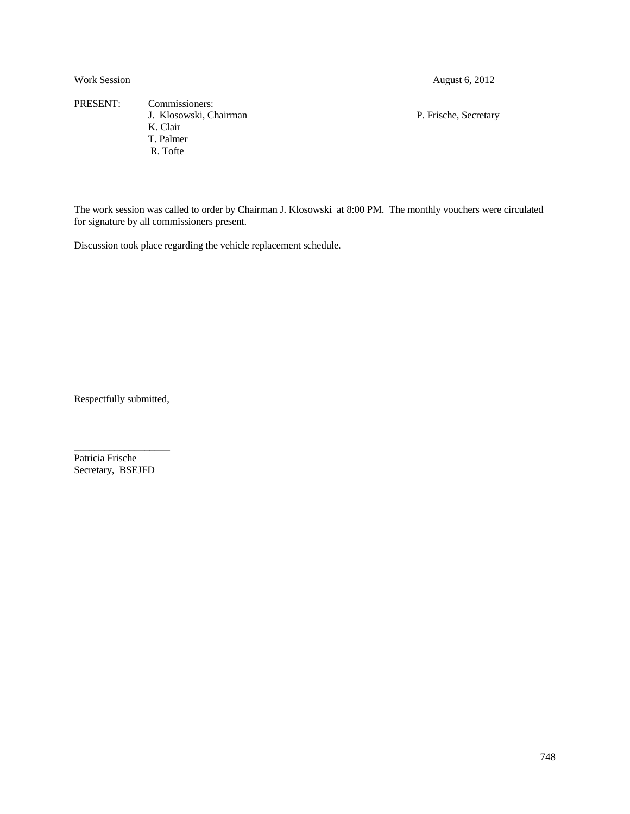PRESENT: Commissioners: J. Klosowski, Chairman P. Frische, Secretary K. Clair T. Palmer R. Tofte

The work session was called to order by Chairman J. Klosowski at 8:00 PM. The monthly vouchers were circulated for signature by all commissioners present.

Discussion took place regarding the vehicle replacement schedule.

Respectfully submitted,

Patricia Frische Secretary, BSEJFD

\_\_\_\_\_\_\_\_\_\_\_\_\_\_\_\_\_\_\_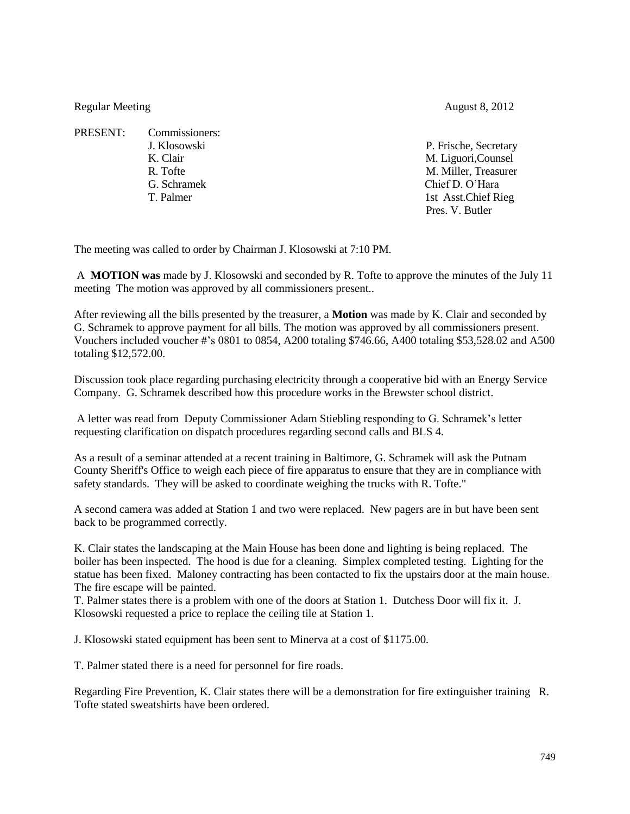Regular Meeting August 8, 2012

PRESENT: Commissioners: G. Schramek Chief D. O'Hara

J. Klosowski P. Frische, Secretary K. Clair M. Liguori, Counsel R. Tofte M. Miller, Treasurer T. Palmer 1st Asst.Chief Rieg Pres. V. Butler

The meeting was called to order by Chairman J. Klosowski at 7:10 PM.

A **MOTION was** made by J. Klosowski and seconded by R. Tofte to approve the minutes of the July 11 meeting The motion was approved by all commissioners present..

After reviewing all the bills presented by the treasurer, a **Motion** was made by K. Clair and seconded by G. Schramek to approve payment for all bills. The motion was approved by all commissioners present. Vouchers included voucher #'s 0801 to 0854, A200 totaling \$746.66, A400 totaling \$53,528.02 and A500 totaling \$12,572.00.

Discussion took place regarding purchasing electricity through a cooperative bid with an Energy Service Company. G. Schramek described how this procedure works in the Brewster school district.

A letter was read from Deputy Commissioner Adam Stiebling responding to G. Schramek's letter requesting clarification on dispatch procedures regarding second calls and BLS 4.

As a result of a seminar attended at a recent training in Baltimore, G. Schramek will ask the Putnam County Sheriff's Office to weigh each piece of fire apparatus to ensure that they are in compliance with safety standards. They will be asked to coordinate weighing the trucks with R. Tofte."

A second camera was added at Station 1 and two were replaced. New pagers are in but have been sent back to be programmed correctly.

K. Clair states the landscaping at the Main House has been done and lighting is being replaced. The boiler has been inspected. The hood is due for a cleaning. Simplex completed testing. Lighting for the statue has been fixed. Maloney contracting has been contacted to fix the upstairs door at the main house. The fire escape will be painted.

T. Palmer states there is a problem with one of the doors at Station 1. Dutchess Door will fix it. J. Klosowski requested a price to replace the ceiling tile at Station 1.

J. Klosowski stated equipment has been sent to Minerva at a cost of \$1175.00.

T. Palmer stated there is a need for personnel for fire roads.

Regarding Fire Prevention, K. Clair states there will be a demonstration for fire extinguisher training R. Tofte stated sweatshirts have been ordered.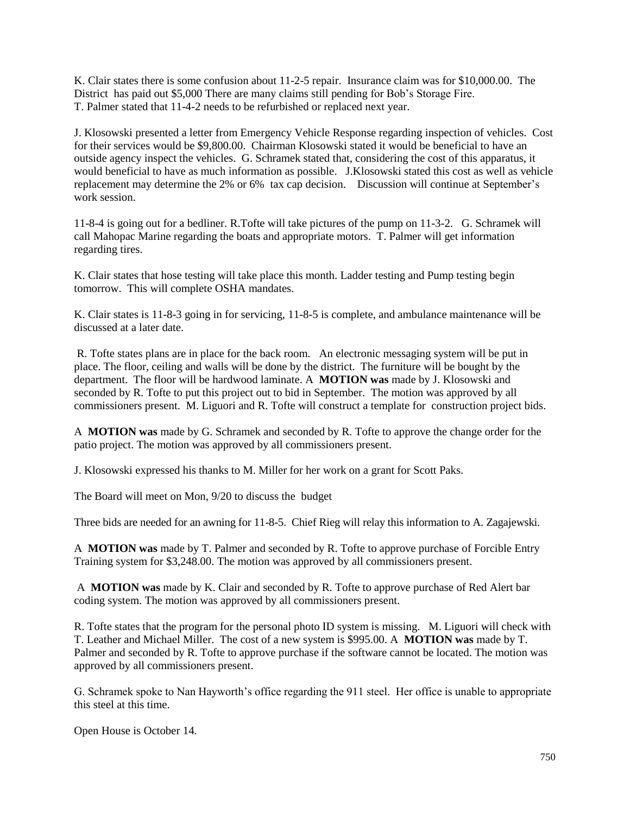K. Clair states there is some confusion about 11-2-5 repair. Insurance claim was for \$10,000.00. The District has paid out \$5,000 There are many claims still pending for Bob's Storage Fire. T. Palmer stated that 11-4-2 needs to be refurbished or replaced next year.

J. Klosowski presented a letter from Emergency Vehicle Response regarding inspection of vehicles. Cost for their services would be \$9,800.00. Chairman Klosowski stated it would be beneficial to have an outside agency inspect the vehicles. G. Schramek stated that, considering the cost of this apparatus, it would beneficial to have as much information as possible. J.Klosowski stated this cost as well as vehicle replacement may determine the 2% or 6% tax cap decision. Discussion will continue at September's work session.

11-8-4 is going out for a bedliner. R.Tofte will take pictures of the pump on 11-3-2. G. Schramek will call Mahopac Marine regarding the boats and appropriate motors. T. Palmer will get information regarding tires.

K. Clair states that hose testing will take place this month. Ladder testing and Pump testing begin tomorrow. This will complete OSHA mandates.

K. Clair states is 11-8-3 going in for servicing, 11-8-5 is complete, and ambulance maintenance will be discussed at a later date.

R. Tofte states plans are in place for the back room. An electronic messaging system will be put in place. The floor, ceiling and walls will be done by the district. The furniture will be bought by the department. The floor will be hardwood laminate. A **MOTION was** made by J. Klosowski and seconded by R. Tofte to put this project out to bid in September. The motion was approved by all commissioners present. M. Liguori and R. Tofte will construct a template for construction project bids.

A **MOTION was** made by G. Schramek and seconded by R. Tofte to approve the change order for the patio project. The motion was approved by all commissioners present.

J. Klosowski expressed his thanks to M. Miller for her work on a grant for Scott Paks.

The Board will meet on Mon, 9/20 to discuss the budget

Three bids are needed for an awning for 11-8-5. Chief Rieg will relay this information to A. Zagajewski.

A **MOTION was** made by T. Palmer and seconded by R. Tofte to approve purchase of Forcible Entry Training system for \$3,248.00. The motion was approved by all commissioners present.

A **MOTION was** made by K. Clair and seconded by R. Tofte to approve purchase of Red Alert bar coding system. The motion was approved by all commissioners present.

R. Tofte states that the program for the personal photo ID system is missing. M. Liguori will check with T. Leather and Michael Miller. The cost of a new system is \$995.00. A **MOTION was** made by T. Palmer and seconded by R. Tofte to approve purchase if the software cannot be located. The motion was approved by all commissioners present.

G. Schramek spoke to Nan Hayworth's office regarding the 911 steel. Her office is unable to appropriate this steel at this time.

Open House is October 14.